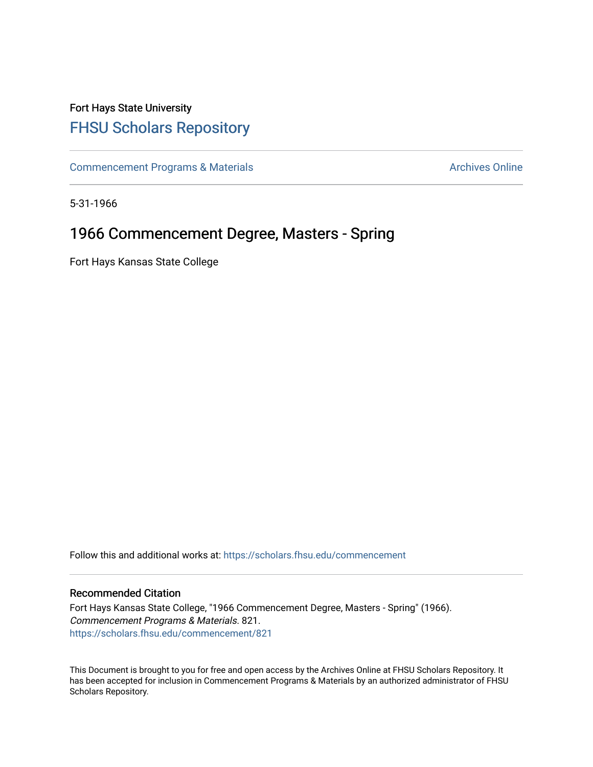# Fort Hays State University [FHSU Scholars Repository](https://scholars.fhsu.edu/)

[Commencement Programs & Materials](https://scholars.fhsu.edu/commencement) **Archives Online** Archives Online

5-31-1966

# 1966 Commencement Degree, Masters - Spring

Fort Hays Kansas State College

Follow this and additional works at: [https://scholars.fhsu.edu/commencement](https://scholars.fhsu.edu/commencement?utm_source=scholars.fhsu.edu%2Fcommencement%2F821&utm_medium=PDF&utm_campaign=PDFCoverPages)

### Recommended Citation

Fort Hays Kansas State College, "1966 Commencement Degree, Masters - Spring" (1966). Commencement Programs & Materials. 821. [https://scholars.fhsu.edu/commencement/821](https://scholars.fhsu.edu/commencement/821?utm_source=scholars.fhsu.edu%2Fcommencement%2F821&utm_medium=PDF&utm_campaign=PDFCoverPages)

This Document is brought to you for free and open access by the Archives Online at FHSU Scholars Repository. It has been accepted for inclusion in Commencement Programs & Materials by an authorized administrator of FHSU Scholars Repository.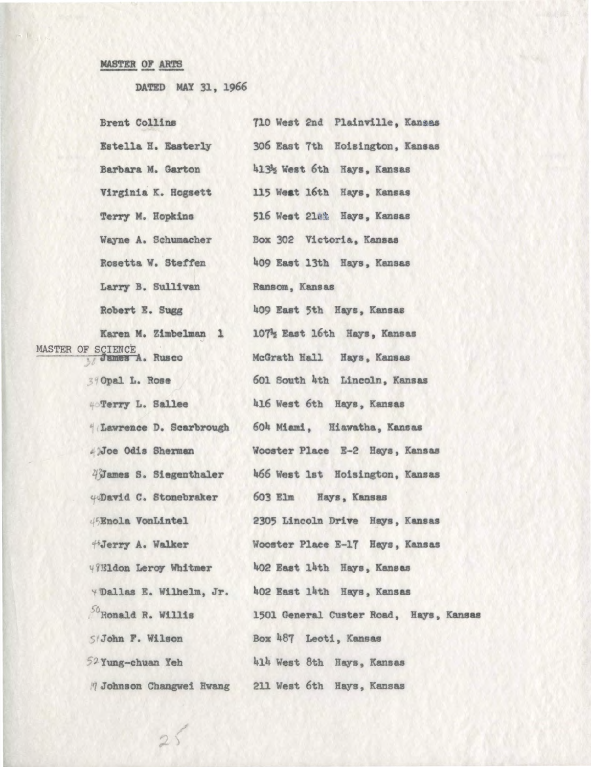## MASTER OF ARTS

DATED MAY 31, 1966

 $25$ 

| Brent Collins                              | 710 West 2nd Plainville, Kansas        |
|--------------------------------------------|----------------------------------------|
| Estella H. Easterly                        | 306 East 7th Hoisington, Kansas        |
| Barbara M. Garton                          | 4132 West 6th Hays, Kansas             |
| Virginia K. Hogsett                        | 115 West 16th Hays, Kansas             |
| Terry M. Hopkins                           | 516 West 218% Hays, Kansas             |
| Wayne A. Schumacher                        | Box 302 Victoria, Kansas               |
| Rosetta W. Steffen                         | 409 East 13th Hays, Kansas             |
| Larry B. Sullivan                          | Ransom, Kansas                         |
| Robert E. Sugg                             | 409 East 5th Hays, Kansas              |
| Karen M. Zimbelman 1                       | 107% East 16th Hays, Kansas            |
| MASTER OF SCIENCE<br><b>Mames A. Rusco</b> | McGrath Hall Hays, Kansas              |
| 39 Opal L. Rose                            | 601 South 4th Lincoln, Kansas          |
| 4 Terry L. Sallee                          | 416 West 6th Hays, Kansas              |
| Lawrence D. Scarbrough                     | 604 Miami, Hiawatha, Kansas            |
| 4)Joe Odis Sherman                         | Wooster Place E-2 Hays, Kansas         |
| 4 James S. Siegenthaler                    | 466 West 1st Hoisington, Kansas        |
| 40David C. Stonebraker                     | 603 Elm Hays, Kansas                   |
| 45Enola VonLintel                          | 2305 Lincoln Drive Hays, Kansas        |
| 45Jerry A. Walker                          | Wooster Place E-17 Hays, Kansas        |
| 49Eldon Leroy Whitmer                      | 402 East 14th Hays, Kansas             |
| Y'Dallas E. Wilhelm, Jr.                   | 402 East 14th Hays, Kansas             |
| So <sub>Ronald</sub> R. Willis             | 1501 General Custer Road, Hays, Kansas |
| SiJohn F. Wilson                           | Box 487 Leoti, Kansas                  |
| 52 Yung-chuan Yeh                          | 414 West 8th Hays, Kansas              |
| 7 Johnson Changwei Hwang                   | 211 West 6th Hays, Kansas              |
|                                            |                                        |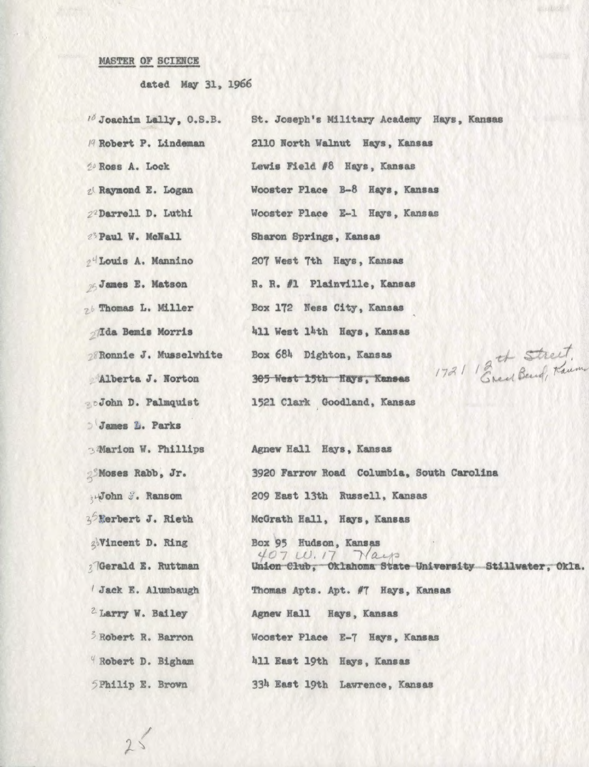## MASTER OF SCIENCE

 $25$ 

dated May 31, 1966

| <sup>16</sup> Joachim Lally, O.S.B. | St. Joseph's Military Academy Hays, Kansas                                |
|-------------------------------------|---------------------------------------------------------------------------|
| <sup>19</sup> Robert P. Lindeman    | 2110 North Walnut Hays, Kansas                                            |
| 2 Ross A. Lock                      | Lewis Field #8 Hays, Kansas                                               |
| 2 Raymond E. Logan                  | Wooster Place B-8 Hays, Kansas                                            |
| 22 Darrell D. Luthi                 | Wooster Place E-1 Hays, Kansas                                            |
| 23 Paul W. McNall                   | Sharon Springs, Kansas                                                    |
| 2 Louis A. Mannino                  | 207 West 7th Hays, Kansas                                                 |
| 25 James E. Matson                  | R. R. #1 Plainville, Kansas                                               |
| 26 Thomas L. Miller                 | Box 172 Ness City, Kansas                                                 |
| <i><b>JIda Bemis Morris</b></i>     | 411 West 14th Hays, Kansas                                                |
| 28 Ronnie J. Musselwhite            | 1721 Breed Band, Kann<br>Box 684 Dighton, Kansas                          |
| Alberta J. Norton                   | 305 West 15th Hays, Kansas                                                |
| <b>BoJohn D. Palmquist</b>          | 1521 Clark Goodland, Kansas                                               |
| James L. Parks                      |                                                                           |
| 3 Marion W. Phillips                | Agnew Hall Hays, Kansas                                                   |
| <i><b>Noses Rabb</b></i> , Jr.      | 3920 Farrow Road Columbia, South Carolina                                 |
| y John J. Ransom                    | 209 East 13th Russell, Kansas                                             |
| 3 Rerbert J. Rieth                  | McGrath Hall, Hays, Kansas                                                |
| goVincent D. Ring                   | Box 95 Hudson, Kansas                                                     |
| 2 Gerald E. Ruttman                 | 407 W. 17 Nays<br>Union Club, Oklahoma State University Stillwater, Okla. |
| Jack E. Alumbaugh                   | Thomas Apts. Apt. #7 Hays, Kansas                                         |
| <sup>2</sup> Larry W. Bailey        | Agnew Hall Hays, Kansas                                                   |
| Robert R. Barron                    | Wooster Place E-7 Hays, Kansas                                            |
| Robert D. Bigham                    | 411 East 19th Hays, Kansas                                                |
| SPhilip E. Brown                    | 334 East 19th Lawrence, Kansas                                            |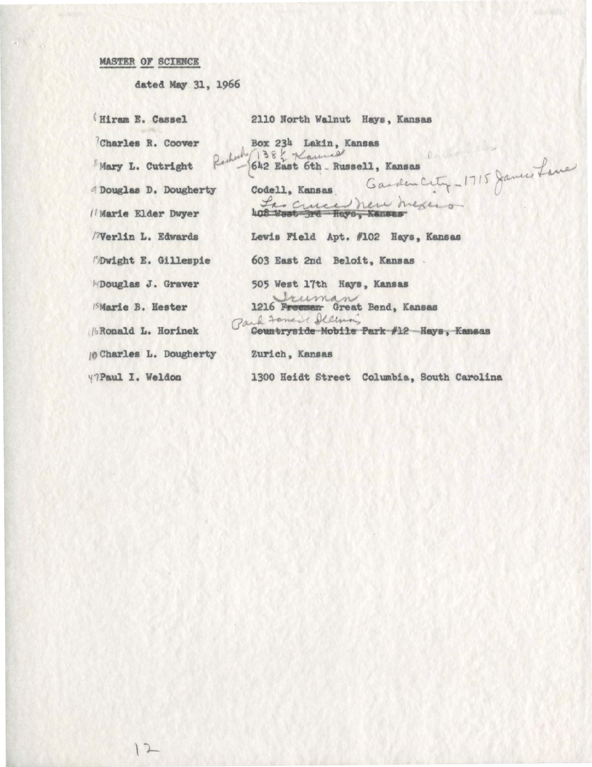## MASTER OP SCIENCE

 $12$ 

dated May 31, 1966

| 2110 North Walnut Hays, Kansas                                 |
|----------------------------------------------------------------|
| Box 234 Lakin, Kansas                                          |
| Reduk 1382 Kannas<br>642 East 6th Russell, Kansas              |
| Garden City - 1715 Januar Lan<br>Codell, Kansas                |
| Las cruced new mexico<br>408 West 3rd Hays, Kansas             |
| Lewis Field Apt. #102 Hays, Kansas                             |
| 603 East 2nd Beloit, Kansas                                    |
| 505 West 17th Hays, Kansas                                     |
| Vruman<br>1216 Freeman Great Bend, Kansas                      |
| Park Fonand Illing<br>Countryside Mobile Park #12 Hays, Kansas |
| Zurich, Kansas                                                 |
| 1300 Heidt Street Columbia, South Carolina                     |
|                                                                |